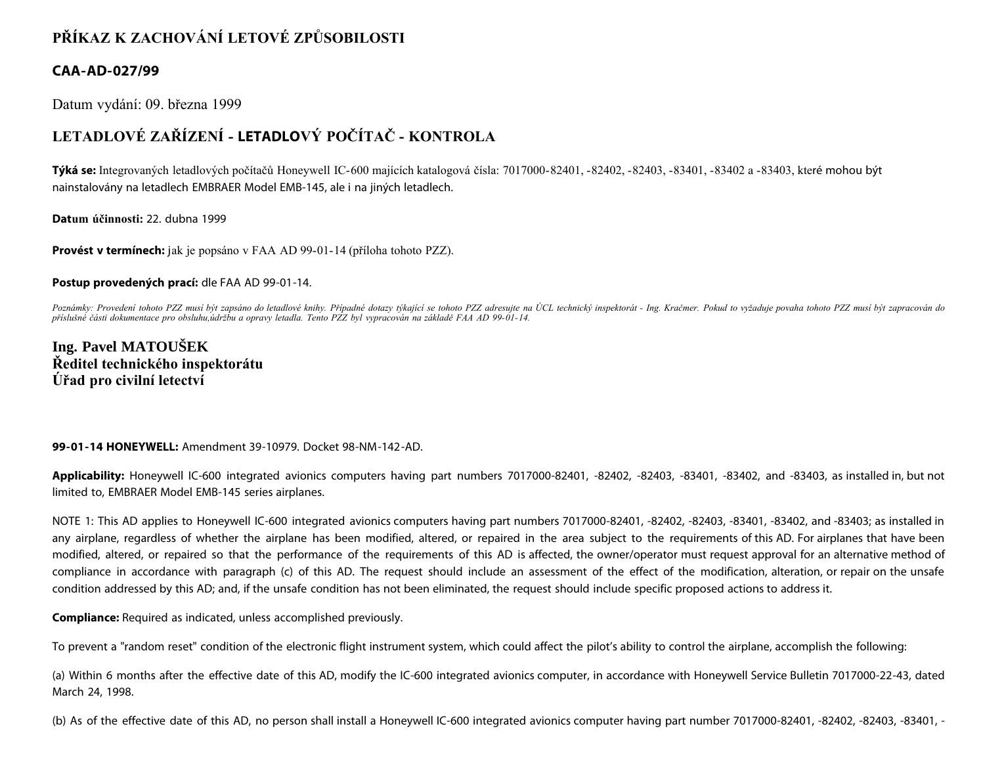# **PŘÍKAZ K ZACHOVÁNÍ LETOVÉ ZPŮSOBILOSTI**

### **CAA-AD-027/99**

Datum vydání: 09. března 1999

# **LETADLOVÉ ZAŘÍZENÍ - LETADLOVÝ POČÍTAČ - KONTROLA**

**Týká se:** Integrovaných letadlových počítačů Honeywell IC-600 majících katalogová čísla: 7017000-82401, -82402, -82403, -83401, -83402 a -83403, které mohou být nainstalovány na letadlech EMBRAER Model EMB-145, ale i na jiných letadlech.

**Datum účinnosti:** 22. dubna 1999

**Provést v termínech:** jak je popsáno v FAA AD 99-01-14 (příloha tohoto PZZ).

#### **Postup provedených prací:** dle FAA AD 99-01-14.

Poznámky: Provedení tohoto PZZ musí být zapsáno do letadlové knihy. Případné dotazy týkající se tohoto PZZ adresujte na ÚCL technický inspektorát - Ing. Kračmer. Pokud to vyžaduje povaha tohoto PZZ musí být zapracován do *příslušné části dokumentace pro obsluhu,údržbu a opravy letadla. Tento PZZ byl vypracován na základě FAA AD 99-01-14.*

**Ing. Pavel MATOUŠEK Ředitel technického inspektorátu Úřad pro civilní letectví**

#### **99-01-14 HONEYWELL:** Amendment 39-10979. Docket 98-NM-142-AD.

**Applicability:** Honeywell IC-600 integrated avionics computers having part numbers 7017000-82401, -82402, -82403, -83401, -83402, and -83403, as installed in, but not limited to, EMBRAER Model EMB-145 series airplanes.

NOTE 1: This AD applies to Honeywell IC-600 integrated avionics computers having part numbers 7017000-82401, -82402, -82403, -83401, -83402, and -83403; as installed in any airplane, regardless of whether the airplane has been modified, altered, or repaired in the area subject to the requirements of this AD. For airplanes that have been modified, altered, or repaired so that the performance of the requirements of this AD is affected, the owner/operator must request approval for an alternative method of compliance in accordance with paragraph (c) of this AD. The request should include an assessment of the effect of the modification, alteration, or repair on the unsafe condition addressed by this AD; and, if the unsafe condition has not been eliminated, the request should include specific proposed actions to address it.

**Compliance:** Required as indicated, unless accomplished previously.

To prevent a "random reset" condition of the electronic flight instrument system, which could affect the pilot's ability to control the airplane, accomplish the following:

(a) Within 6 months after the effective date of this AD, modify the IC-600 integrated avionics computer, in accordance with Honeywell Service Bulletin 7017000-22-43, dated March 24, 1998.

(b) As of the effective date of this AD, no person shall install a Honeywell IC-600 integrated avionics computer having part number 7017000-82401, -82402, -82403, -83401, -